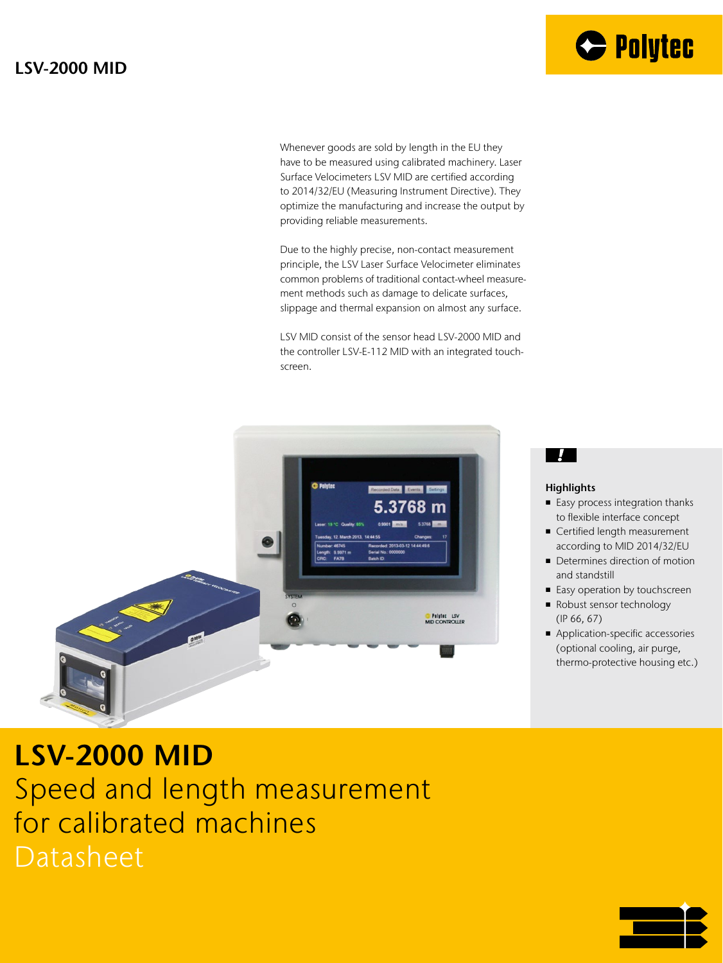

Whenever goods are sold by length in the EU they have to be measured using calibrated machinery. Laser Surface Velocimeters LSV MID are certified according to 2014/32/EU (Measuring Instrument Directive). They optimize the manufacturing and increase the output by providing reliable measurements.

Due to the highly precise, non-contact measurement principle, the LSV Laser Surface Velocimeter eliminates common problems of traditional contact-wheel measurement methods such as damage to delicate surfaces, slippage and thermal expansion on almost any surface.

LSV MID consist of the sensor head LSV-2000 MID and the controller LSV-E-112 MID with an integrated touchscreen.



#### - 7

#### **Highlights**

- Easy process integration thanks to flexible interface concept
- Certified length measurement according to MID 2014/32/EU
- Determines direction of motion and standstill
- Easy operation by touchscreen
- Robust sensor technology (IP 66, 67)
- Application-specific accessories (optional cooling, air purge, thermo-protective housing etc.)

## **LSV-2000 MID** Speed and length measurement for calibrated machines

Datasheet

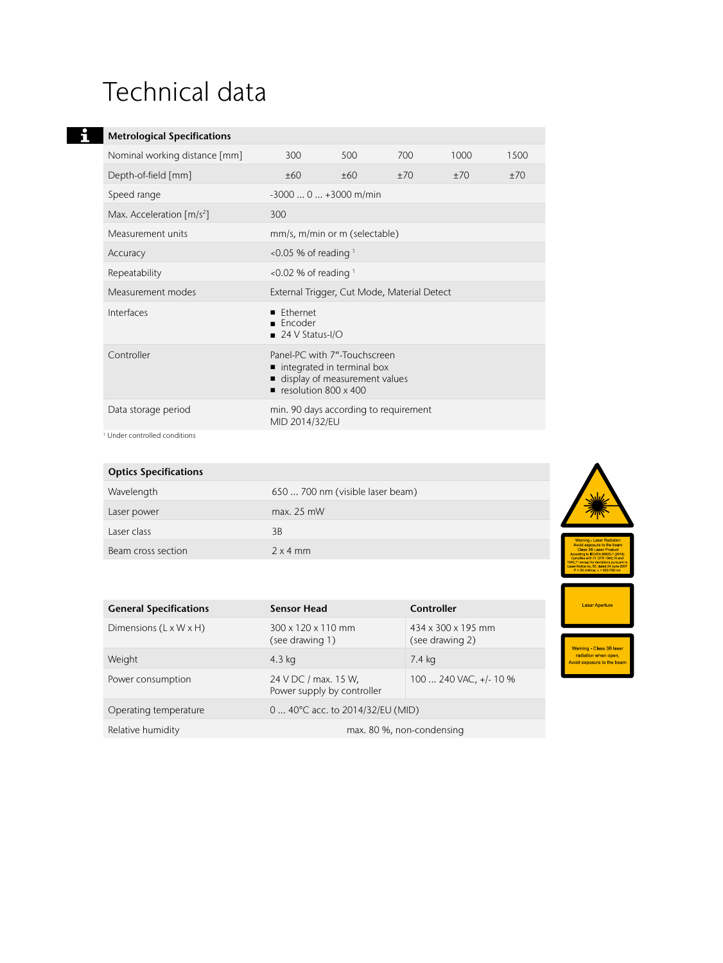## Technical data

#### **Metrological Specifications**

| Nominal working distance [mm]           | 300                                                  | 500                                                                                           | 700 | 1000 | 1500 |
|-----------------------------------------|------------------------------------------------------|-----------------------------------------------------------------------------------------------|-----|------|------|
| Depth-of-field [mm]                     | ±60                                                  | ±60                                                                                           | ±70 | ±70  | ±70  |
| Speed range                             |                                                      | $-30000+3000$ m/min                                                                           |     |      |      |
| Max. Acceleration $\lceil m/s^2 \rceil$ | 300                                                  |                                                                                               |     |      |      |
| Measurement units                       |                                                      | mm/s, m/min or m (selectable)                                                                 |     |      |      |
| Accuracy                                | $\leq$ 0.05 % of reading $\frac{1}{2}$               |                                                                                               |     |      |      |
| Repeatability                           |                                                      | $\leq$ 0.02 % of reading $\frac{1}{2}$                                                        |     |      |      |
| Measurement modes                       |                                                      | External Trigger, Cut Mode, Material Detect                                                   |     |      |      |
| Interfaces                              | <b>Fthernet</b><br><b>Encoder</b><br>24 V Status-I/O |                                                                                               |     |      |      |
| Controller                              | resolution $800 \times 400$                          | Panel-PC with 7"-Touchscreen<br>■ integrated in terminal box<br>display of measurement values |     |      |      |
| Data storage period                     | MID 2014/32/EU                                       | min. 90 days according to requirement                                                         |     |      |      |

<sup>1</sup> Under controlled conditions

| <b>Optics Specifications</b> |                                  |                                                                                    |
|------------------------------|----------------------------------|------------------------------------------------------------------------------------|
| Wavelength                   | 650  700 nm (visible laser beam) |                                                                                    |
| Laser power                  | max. 25 mW                       |                                                                                    |
| Laser class                  | 3B                               |                                                                                    |
| Beam cross section           | $2 \times 4$ mm                  | Warning - Laser F<br>Avoid exposure to<br>Class 3B Laser<br>According to IEC/EN 60 |

Laser Aperture

Warning - Class 3B laser<br>radiation when open.<br>Woid exposure to the bean

| <b>General Specifications</b>      | <b>Sensor Head</b>                                 | Controller                            |  |
|------------------------------------|----------------------------------------------------|---------------------------------------|--|
| Dimensions $(L \times W \times H)$ | 300 x 120 x 110 mm<br>(see drawing 1)              | 434 x 300 x 195 mm<br>(see drawing 2) |  |
| Weight                             | 4.3 kg                                             | 7.4 kg                                |  |
| Power consumption                  | 24 V DC / max. 15 W.<br>Power supply by controller | 100  240 VAC, +/- 10 %                |  |
| Operating temperature              | 0  40°C acc. to 2014/32/EU (MID)                   |                                       |  |
| Relative humidity                  | max. 80 %, non-condensing                          |                                       |  |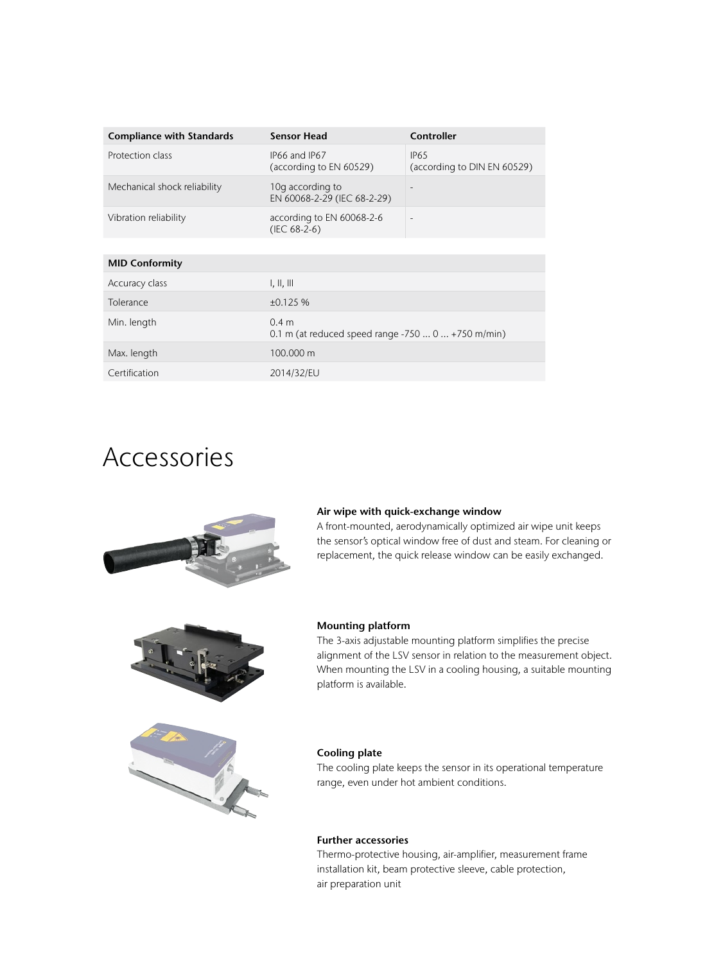| <b>Compliance with Standards</b> | <b>Sensor Head</b>                                        | Controller                                      |  |
|----------------------------------|-----------------------------------------------------------|-------------------------------------------------|--|
| Protection class                 | IP66 and IP67<br>(according to EN 60529)                  | IP <sub>65</sub><br>(according to DIN EN 60529) |  |
| Mechanical shock reliability     | 10g according to<br>EN 60068-2-29 (IEC 68-2-29)           |                                                 |  |
| Vibration reliability            | according to EN 60068-2-6<br>$(IEC 68-2-6)$               | $\overline{\phantom{a}}$                        |  |
|                                  |                                                           |                                                 |  |
| <b>MID Conformity</b>            |                                                           |                                                 |  |
| Accuracy class                   | $\parallel$ , $\parallel$ , $\parallel$                   |                                                 |  |
| Tolerance                        | ±0.125%                                                   |                                                 |  |
| Min. length                      | 0.4 m<br>0.1 m (at reduced speed range $-7500+750$ m/min) |                                                 |  |
| Max. length                      | 100,000 m                                                 |                                                 |  |
| Certification                    | 2014/32/EU                                                |                                                 |  |

### Accessories



#### **Air wipe with quick-exchange window**

A front-mounted, aerodynamically optimized air wipe unit keeps the sensor's optical window free of dust and steam. For cleaning or replacement, the quick release window can be easily exchanged.



# 

#### **Mounting platform**

The 3-axis adjustable mounting platform simplifies the precise alignment of the LSV sensor in relation to the measurement object. When mounting the LSV in a cooling housing, a suitable mounting platform is available.

#### **Cooling plate**

The cooling plate keeps the sensor in its operational temperature range, even under hot ambient conditions.

#### **Further accessories**

Thermo-protective housing, air-amplifier, measurement frame installation kit, beam protective sleeve, cable protection, air preparation unit